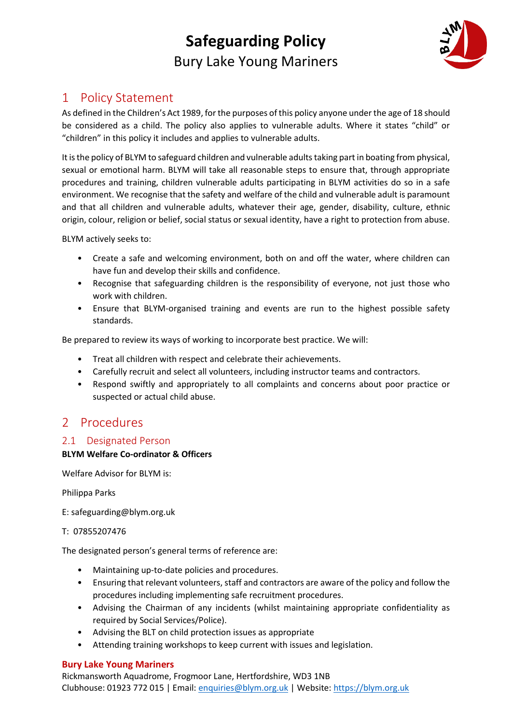

## 1 Policy Statement

As defined in the Children's Act 1989, for the purposes of this policy anyone under the age of 18 should be considered as a child. The policy also applies to vulnerable adults. Where it states "child" or "children" in this policy it includes and applies to vulnerable adults.

It is the policy of BLYM to safeguard children and vulnerable adults taking part in boating from physical, sexual or emotional harm. BLYM will take all reasonable steps to ensure that, through appropriate procedures and training, children vulnerable adults participating in BLYM activities do so in a safe environment. We recognise that the safety and welfare of the child and vulnerable adult is paramount and that all children and vulnerable adults, whatever their age, gender, disability, culture, ethnic origin, colour, religion or belief, social status or sexual identity, have a right to protection from abuse.

BLYM actively seeks to:

- Create a safe and welcoming environment, both on and off the water, where children can have fun and develop their skills and confidence.
- Recognise that safeguarding children is the responsibility of everyone, not just those who work with children.
- Ensure that BLYM-organised training and events are run to the highest possible safety standards.

Be prepared to review its ways of working to incorporate best practice. We will:

- Treat all children with respect and celebrate their achievements.
- Carefully recruit and select all volunteers, including instructor teams and contractors.
- Respond swiftly and appropriately to all complaints and concerns about poor practice or suspected or actual child abuse.

## 2 Procedures

#### 2.1 Designated Person

#### **BLYM Welfare Co-ordinator & Officers**

Welfare Advisor for BLYM is:

Philippa Parks

E: safeguarding@blym.org.uk

#### T: 07855207476

The designated person's general terms of reference are:

- Maintaining up-to-date policies and procedures.
- Ensuring that relevant volunteers, staff and contractors are aware of the policy and follow the procedures including implementing safe recruitment procedures.
- Advising the Chairman of any incidents (whilst maintaining appropriate confidentiality as required by Social Services/Police).
- Advising the BLT on child protection issues as appropriate
- Attending training workshops to keep current with issues and legislation.

#### **Bury Lake Young Mariners**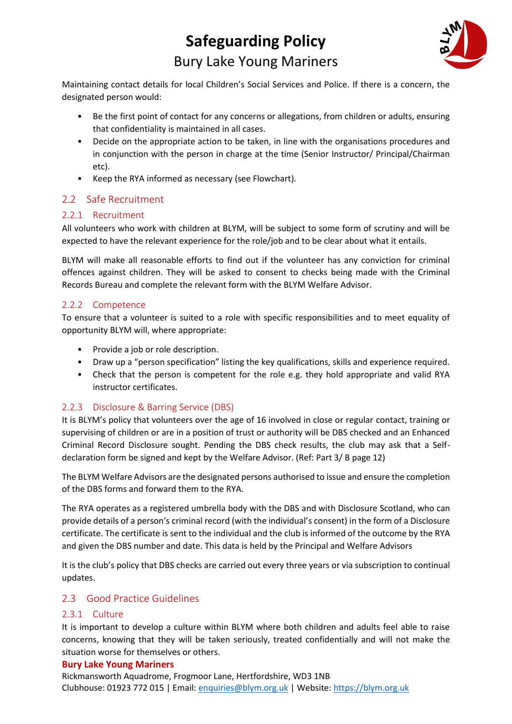

Maintaining contact details for local Children's Social Services and Police. If there is a concern, the designated person would:

- Be the first point of contact for any concerns or allegations, from children or adults, ensuring that confidentiality is maintained in all cases.
- Decide on the appropriate action to be taken, in line with the organisations procedures and in conjunction with the person in charge at the time (Senior Instructor/ Principal/Chairman etc).
- Keep the RYA informed as necessary (see Flowchart).

## 2.2 Safe Recruitment

## 2.2.1 Recruitment

All volunteers who work with children at BLYM, will be subject to some form of scrutiny and will be expected to have the relevant experience for the role/job and to be clear about what it entails.

BLYM will make all reasonable efforts to find out if the volunteer has any conviction for criminal offences against children. They will be asked to consent to checks being made with the Criminal Records Bureau and complete the relevant form with the BLYM Welfare Advisor.

## 2.2.2 Competence

To ensure that a volunteer is suited to a role with specific responsibilities and to meet equality of opportunity BLYM will, where appropriate:

- Provide a job or role description.
- Draw up a "person specification" listing the key qualifications, skills and experience required.
- Check that the person is competent for the role e.g. they hold appropriate and valid RYA instructor certificates.

## 2.2.3 Disclosure & Barring Service (DBS)

It is BLYM's policy that volunteers over the age of 16 involved in close or regular contact, training or supervising of children or are in a position of trust or authority will be DBS checked and an Enhanced Criminal Record Disclosure sought. Pending the DBS check results, the club may ask that a Selfdeclaration form be signed and kept by the Welfare Advisor. (Ref: Part 3/ B page 12)

The BLYM Welfare Advisors are the designated persons authorised to issue and ensure the completion of the DBS forms and forward them to the RYA.

The RYA operates as a registered umbrella body with the DBS and with Disclosure Scotland, who can provide details of a person's criminal record (with the individual's consent) in the form of a Disclosure certificate. The certificate is sent to the individual and the club is informed of the outcome by the RYA and given the DBS number and date. This data is held by the Principal and Welfare Advisors

It is the club's policy that DBS checks are carried out every three years or via subscription to continual updates.

## 2.3 Good Practice Guidelines

## 2.3.1 Culture

It is important to develop a culture within BLYM where both children and adults feel able to raise concerns, knowing that they will be taken seriously, treated confidentially and will not make the situation worse for themselves or others.

#### **Bury Lake Young Mariners**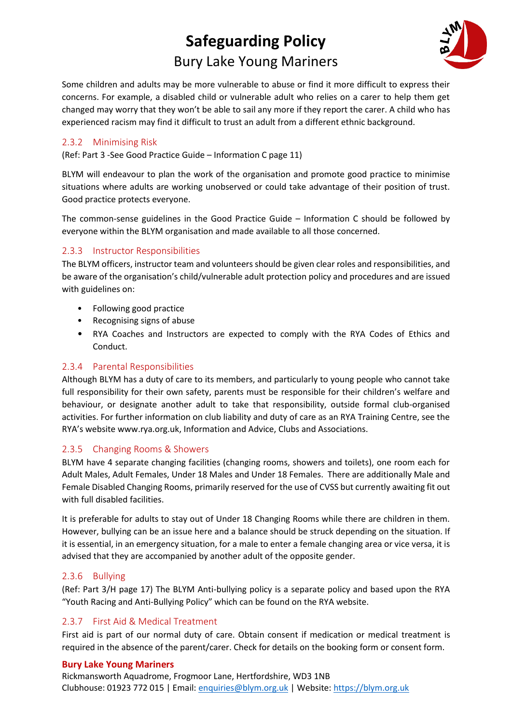

Some children and adults may be more vulnerable to abuse or find it more difficult to express their concerns. For example, a disabled child or vulnerable adult who relies on a carer to help them get changed may worry that they won't be able to sail any more if they report the carer. A child who has experienced racism may find it difficult to trust an adult from a different ethnic background.

### 2.3.2 Minimising Risk

(Ref: Part 3 -See Good Practice Guide – Information C page 11)

BLYM will endeavour to plan the work of the organisation and promote good practice to minimise situations where adults are working unobserved or could take advantage of their position of trust. Good practice protects everyone.

The common-sense guidelines in the Good Practice Guide – Information C should be followed by everyone within the BLYM organisation and made available to all those concerned.

#### 2.3.3 Instructor Responsibilities

The BLYM officers, instructor team and volunteers should be given clear roles and responsibilities, and be aware of the organisation's child/vulnerable adult protection policy and procedures and are issued with guidelines on:

- Following good practice
- Recognising signs of abuse
- RYA Coaches and Instructors are expected to comply with the RYA Codes of Ethics and Conduct.

### 2.3.4 Parental Responsibilities

Although BLYM has a duty of care to its members, and particularly to young people who cannot take full responsibility for their own safety, parents must be responsible for their children's welfare and behaviour, or designate another adult to take that responsibility, outside formal club-organised activities. For further information on club liability and duty of care as an RYA Training Centre, see the RYA's website www.rya.org.uk, Information and Advice, Clubs and Associations.

#### 2.3.5 Changing Rooms & Showers

BLYM have 4 separate changing facilities (changing rooms, showers and toilets), one room each for Adult Males, Adult Females, Under 18 Males and Under 18 Females. There are additionally Male and Female Disabled Changing Rooms, primarily reserved for the use of CVSS but currently awaiting fit out with full disabled facilities.

It is preferable for adults to stay out of Under 18 Changing Rooms while there are children in them. However, bullying can be an issue here and a balance should be struck depending on the situation. If it is essential, in an emergency situation, for a male to enter a female changing area or vice versa, it is advised that they are accompanied by another adult of the opposite gender.

#### 2.3.6 Bullying

(Ref: Part 3/H page 17) The BLYM Anti-bullying policy is a separate policy and based upon the RYA "Youth Racing and Anti-Bullying Policy" which can be found on the RYA website.

#### 2.3.7 First Aid & Medical Treatment

First aid is part of our normal duty of care. Obtain consent if medication or medical treatment is required in the absence of the parent/carer. Check for details on the booking form or consent form.

#### **Bury Lake Young Mariners**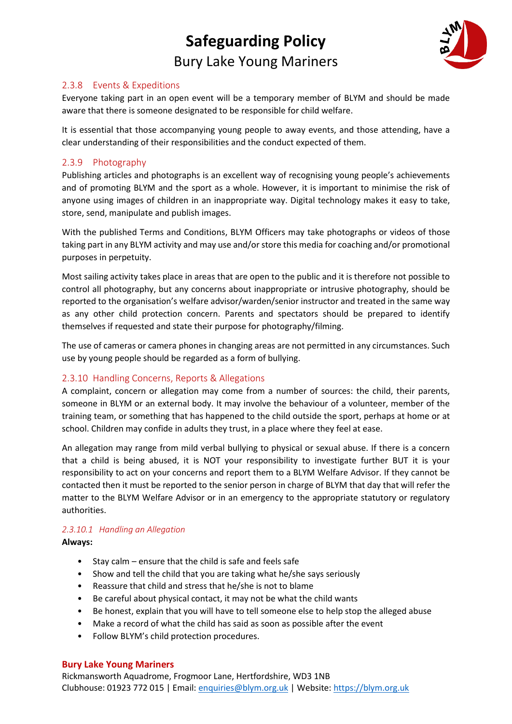

#### 2.3.8 Events & Expeditions

Everyone taking part in an open event will be a temporary member of BLYM and should be made aware that there is someone designated to be responsible for child welfare.

It is essential that those accompanying young people to away events, and those attending, have a clear understanding of their responsibilities and the conduct expected of them.

#### 2.3.9 Photography

Publishing articles and photographs is an excellent way of recognising young people's achievements and of promoting BLYM and the sport as a whole. However, it is important to minimise the risk of anyone using images of children in an inappropriate way. Digital technology makes it easy to take, store, send, manipulate and publish images.

With the published Terms and Conditions, BLYM Officers may take photographs or videos of those taking part in any BLYM activity and may use and/or store this media for coaching and/or promotional purposes in perpetuity.

Most sailing activity takes place in areas that are open to the public and it is therefore not possible to control all photography, but any concerns about inappropriate or intrusive photography, should be reported to the organisation's welfare advisor/warden/senior instructor and treated in the same way as any other child protection concern. Parents and spectators should be prepared to identify themselves if requested and state their purpose for photography/filming.

The use of cameras or camera phones in changing areas are not permitted in any circumstances. Such use by young people should be regarded as a form of bullying.

#### 2.3.10 Handling Concerns, Reports & Allegations

A complaint, concern or allegation may come from a number of sources: the child, their parents, someone in BLYM or an external body. It may involve the behaviour of a volunteer, member of the training team, or something that has happened to the child outside the sport, perhaps at home or at school. Children may confide in adults they trust, in a place where they feel at ease.

An allegation may range from mild verbal bullying to physical or sexual abuse. If there is a concern that a child is being abused, it is NOT your responsibility to investigate further BUT it is your responsibility to act on your concerns and report them to a BLYM Welfare Advisor. If they cannot be contacted then it must be reported to the senior person in charge of BLYM that day that will refer the matter to the BLYM Welfare Advisor or in an emergency to the appropriate statutory or regulatory authorities.

#### *2.3.10.1 Handling an Allegation*

**Always:** 

- Stay calm ensure that the child is safe and feels safe
- Show and tell the child that you are taking what he/she says seriously
- Reassure that child and stress that he/she is not to blame
- Be careful about physical contact, it may not be what the child wants
- Be honest, explain that you will have to tell someone else to help stop the alleged abuse
- Make a record of what the child has said as soon as possible after the event
- Follow BLYM's child protection procedures.

#### **Bury Lake Young Mariners**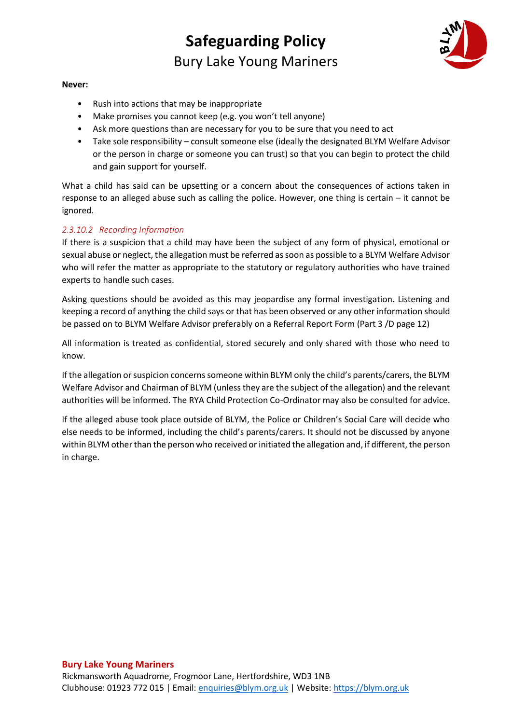

#### **Never:**

- Rush into actions that may be inappropriate
- Make promises you cannot keep (e.g. you won't tell anyone)
- Ask more questions than are necessary for you to be sure that you need to act
- Take sole responsibility consult someone else (ideally the designated BLYM Welfare Advisor or the person in charge or someone you can trust) so that you can begin to protect the child and gain support for yourself.

What a child has said can be upsetting or a concern about the consequences of actions taken in response to an alleged abuse such as calling the police. However, one thing is certain – it cannot be ignored.

#### *2.3.10.2 Recording Information*

If there is a suspicion that a child may have been the subject of any form of physical, emotional or sexual abuse or neglect, the allegation must be referred as soon as possible to a BLYM Welfare Advisor who will refer the matter as appropriate to the statutory or regulatory authorities who have trained experts to handle such cases.

Asking questions should be avoided as this may jeopardise any formal investigation. Listening and keeping a record of anything the child says or that has been observed or any other information should be passed on to BLYM Welfare Advisor preferably on a Referral Report Form (Part 3 /D page 12)

All information is treated as confidential, stored securely and only shared with those who need to know.

If the allegation or suspicion concernssomeone within BLYM only the child's parents/carers, the BLYM Welfare Advisor and Chairman of BLYM (unless they are the subject of the allegation) and the relevant authorities will be informed. The RYA Child Protection Co-Ordinator may also be consulted for advice.

If the alleged abuse took place outside of BLYM, the Police or Children's Social Care will decide who else needs to be informed, including the child's parents/carers. It should not be discussed by anyone within BLYM other than the person who received or initiated the allegation and, if different, the person in charge.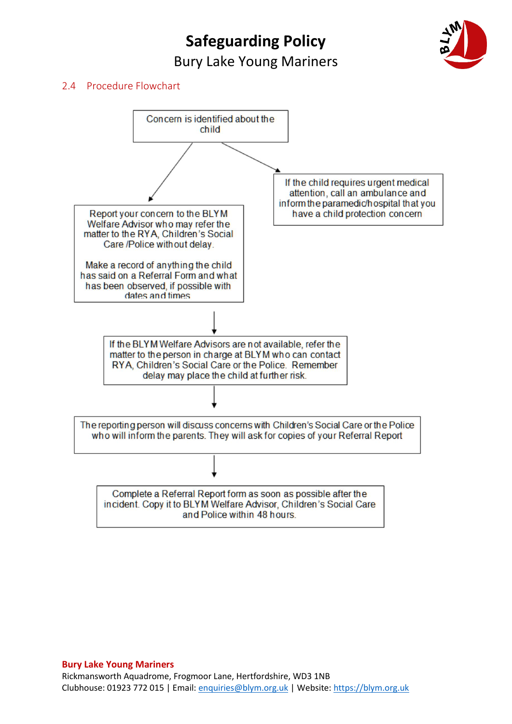

### 2.4 Procedure Flowchart

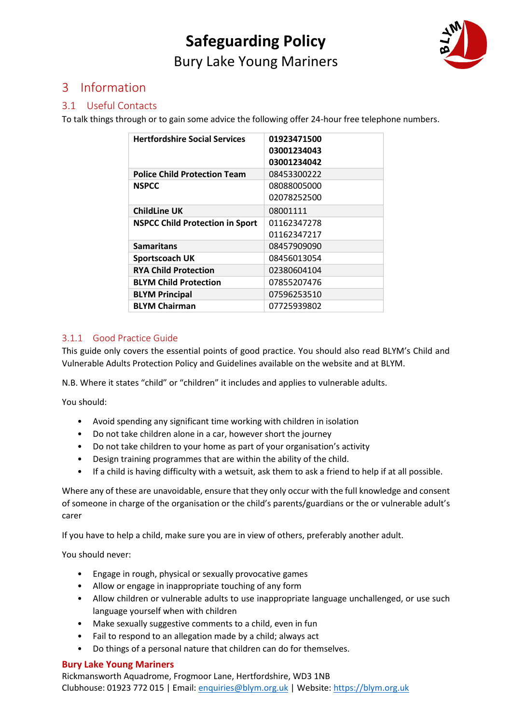

## 3 Information

### 3.1 Useful Contacts

To talk things through or to gain some advice the following offer 24-hour free telephone numbers.

| <b>Hertfordshire Social Services</b>   | 01923471500 |
|----------------------------------------|-------------|
|                                        | 03001234043 |
|                                        | 03001234042 |
| <b>Police Child Protection Team</b>    | 08453300222 |
| <b>NSPCC</b>                           | 08088005000 |
|                                        | 02078252500 |
| <b>ChildLine UK</b>                    | 08001111    |
| <b>NSPCC Child Protection in Sport</b> | 01162347278 |
|                                        | 01162347217 |
| <b>Samaritans</b>                      | 08457909090 |
| Sportscoach UK                         | 08456013054 |
| <b>RYA Child Protection</b>            | 02380604104 |
| <b>BLYM Child Protection</b>           | 07855207476 |
| <b>BLYM Principal</b>                  | 07596253510 |
| <b>BLYM Chairman</b>                   | 07725939802 |

#### 3.1.1 Good Practice Guide

This guide only covers the essential points of good practice. You should also read BLYM's Child and Vulnerable Adults Protection Policy and Guidelines available on the website and at BLYM.

N.B. Where it states "child" or "children" it includes and applies to vulnerable adults.

You should:

- Avoid spending any significant time working with children in isolation
- Do not take children alone in a car, however short the journey
- Do not take children to your home as part of your organisation's activity
- Design training programmes that are within the ability of the child.
- If a child is having difficulty with a wetsuit, ask them to ask a friend to help if at all possible.

Where any of these are unavoidable, ensure that they only occur with the full knowledge and consent of someone in charge of the organisation or the child's parents/guardians or the or vulnerable adult's carer

If you have to help a child, make sure you are in view of others, preferably another adult.

You should never:

- Engage in rough, physical or sexually provocative games
- Allow or engage in inappropriate touching of any form
- Allow children or vulnerable adults to use inappropriate language unchallenged, or use such language yourself when with children
- Make sexually suggestive comments to a child, even in fun
- Fail to respond to an allegation made by a child; always act
- Do things of a personal nature that children can do for themselves.

#### **Bury Lake Young Mariners**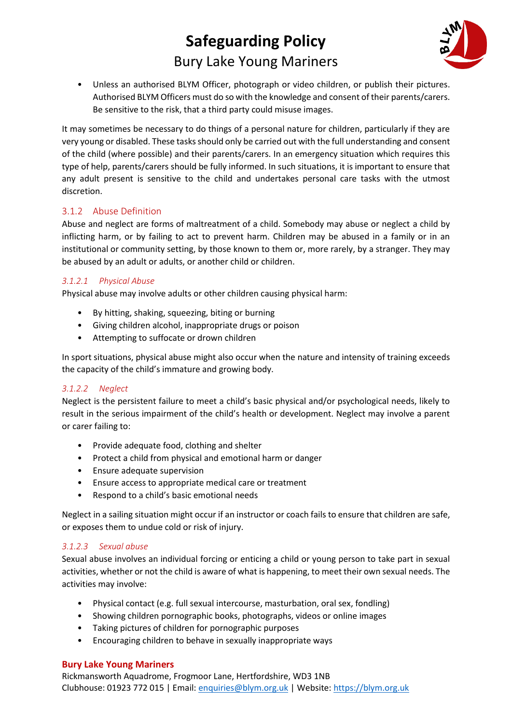

• Unless an authorised BLYM Officer, photograph or video children, or publish their pictures. Authorised BLYM Officers must do so with the knowledge and consent of their parents/carers. Be sensitive to the risk, that a third party could misuse images.

It may sometimes be necessary to do things of a personal nature for children, particularly if they are very young or disabled. These tasks should only be carried out with the full understanding and consent of the child (where possible) and their parents/carers. In an emergency situation which requires this type of help, parents/carers should be fully informed. In such situations, it is important to ensure that any adult present is sensitive to the child and undertakes personal care tasks with the utmost discretion.

### 3.1.2 Abuse Definition

Abuse and neglect are forms of maltreatment of a child. Somebody may abuse or neglect a child by inflicting harm, or by failing to act to prevent harm. Children may be abused in a family or in an institutional or community setting, by those known to them or, more rarely, by a stranger. They may be abused by an adult or adults, or another child or children.

#### *3.1.2.1 Physical Abuse*

Physical abuse may involve adults or other children causing physical harm:

- By hitting, shaking, squeezing, biting or burning
- Giving children alcohol, inappropriate drugs or poison
- Attempting to suffocate or drown children

In sport situations, physical abuse might also occur when the nature and intensity of training exceeds the capacity of the child's immature and growing body.

#### *3.1.2.2 Neglect*

Neglect is the persistent failure to meet a child's basic physical and/or psychological needs, likely to result in the serious impairment of the child's health or development. Neglect may involve a parent or carer failing to:

- Provide adequate food, clothing and shelter
- Protect a child from physical and emotional harm or danger
- Ensure adequate supervision
- Ensure access to appropriate medical care or treatment
- Respond to a child's basic emotional needs

Neglect in a sailing situation might occur if an instructor or coach fails to ensure that children are safe, or exposes them to undue cold or risk of injury.

#### *3.1.2.3 Sexual abuse*

Sexual abuse involves an individual forcing or enticing a child or young person to take part in sexual activities, whether or not the child is aware of what is happening, to meet their own sexual needs. The activities may involve:

- Physical contact (e.g. full sexual intercourse, masturbation, oral sex, fondling)
- Showing children pornographic books, photographs, videos or online images
- Taking pictures of children for pornographic purposes
- Encouraging children to behave in sexually inappropriate ways

#### **Bury Lake Young Mariners**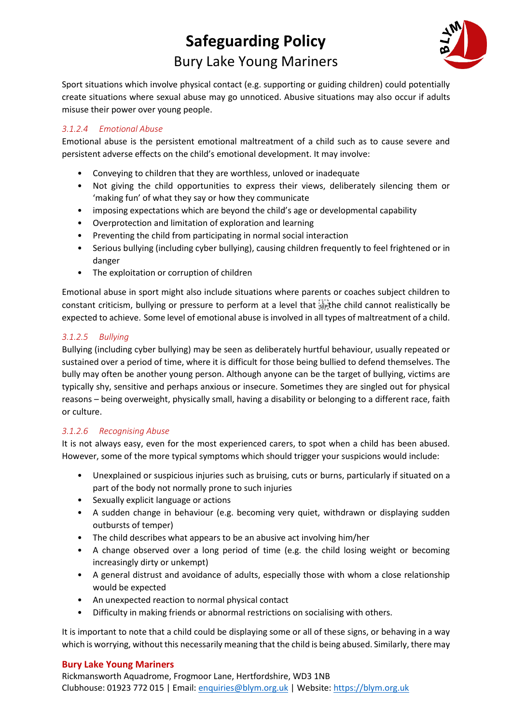

Sport situations which involve physical contact (e.g. supporting or guiding children) could potentially create situations where sexual abuse may go unnoticed. Abusive situations may also occur if adults misuse their power over young people.

### *3.1.2.4 Emotional Abuse*

Emotional abuse is the persistent emotional maltreatment of a child such as to cause severe and persistent adverse effects on the child's emotional development. It may involve:

- Conveying to children that they are worthless, unloved or inadequate
- Not giving the child opportunities to express their views, deliberately silencing them or 'making fun' of what they say or how they communicate
- imposing expectations which are beyond the child's age or developmental capability
- Overprotection and limitation of exploration and learning
- Preventing the child from participating in normal social interaction
- Serious bullying (including cyber bullying), causing children frequently to feel frightened or in danger
- The exploitation or corruption of children

Emotional abuse in sport might also include situations where parents or coaches subject children to constant criticism, bullying or pressure to perform at a level that  $\sum_{s \in \mathbb{N}}$  the child cannot realistically be expected to achieve. Some level of emotional abuse is involved in all types of maltreatment of a child.

### *3.1.2.5 Bullying*

Bullying (including cyber bullying) may be seen as deliberately hurtful behaviour, usually repeated or sustained over a period of time, where it is difficult for those being bullied to defend themselves. The bully may often be another young person. Although anyone can be the target of bullying, victims are typically shy, sensitive and perhaps anxious or insecure. Sometimes they are singled out for physical reasons – being overweight, physically small, having a disability or belonging to a different race, faith or culture.

## *3.1.2.6 Recognising Abuse*

It is not always easy, even for the most experienced carers, to spot when a child has been abused. However, some of the more typical symptoms which should trigger your suspicions would include:

- Unexplained or suspicious injuries such as bruising, cuts or burns, particularly if situated on a part of the body not normally prone to such injuries
- Sexually explicit language or actions
- A sudden change in behaviour (e.g. becoming very quiet, withdrawn or displaying sudden outbursts of temper)
- The child describes what appears to be an abusive act involving him/her
- A change observed over a long period of time (e.g. the child losing weight or becoming increasingly dirty or unkempt)
- A general distrust and avoidance of adults, especially those with whom a close relationship would be expected
- An unexpected reaction to normal physical contact
- Difficulty in making friends or abnormal restrictions on socialising with others.

It is important to note that a child could be displaying some or all of these signs, or behaving in a way which is worrying, without this necessarily meaning that the child is being abused. Similarly, there may

#### **Bury Lake Young Mariners**